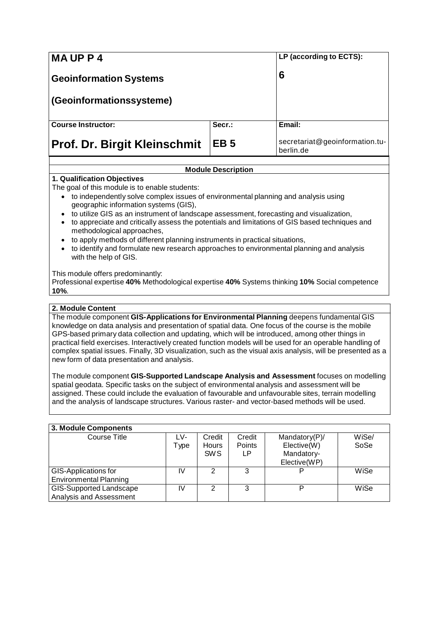| <b>MAUPP4</b>                       | LP (according to ECTS): |                                             |
|-------------------------------------|-------------------------|---------------------------------------------|
| <b>Geoinformation Systems</b>       | 6                       |                                             |
| (Geoinformationssysteme)            |                         |                                             |
| <b>Course Instructor:</b>           | Secr.:                  | Email:                                      |
| <b>Prof. Dr. Birgit Kleinschmit</b> | EB <sub>5</sub>         | secretariat@geoinformation.tu-<br>berlin.de |

## **Module Description**

## **1. Qualification Objectives**

The goal of this module is to enable students:

- to independently solve complex issues of environmental planning and analysis using geographic information systems (GIS),
- to utilize GIS as an instrument of landscape assessment, forecasting and visualization,
- to appreciate and critically assess the potentials and limitations of GIS based techniques and methodological approaches,
- to apply methods of different planning instruments in practical situations,
- to identify and formulate new research approaches to environmental planning and analysis with the help of GIS.

This module offers predominantly:

Professional expertise **40%** Methodological expertise **40%** Systems thinking **10%** Social competence **10%**.

### **2. Module Content**

The module component **GIS-Applications for Environmental Planning** deepens fundamental GIS knowledge on data analysis and presentation of spatial data. One focus of the course is the mobile GPS-based primary data collection and updating, which will be introduced, among other things in practical field exercises. Interactively created function models will be used for an operable handling of complex spatial issues. Finally, 3D visualization, such as the visual axis analysis, will be presented as a new form of data presentation and analysis.

The module component **GIS-Supported Landscape Analysis and Assessment** focuses on modelling spatial geodata. Specific tasks on the subject of environmental analysis and assessment will be assigned. These could include the evaluation of favourable and unfavourable sites, terrain modelling and the analysis of landscape structures. Various raster- and vector-based methods will be used.

| 3. Module Components           |      |               |               |               |       |  |
|--------------------------------|------|---------------|---------------|---------------|-------|--|
| Course Title                   | LV-  | Credit        | Credit        | Mandatory(P)/ | WiSe/ |  |
|                                | Type | Hours         | <b>Points</b> | Elective(W)   | SoSe  |  |
|                                |      | <b>SWS</b>    | LP.           | Mandatory-    |       |  |
|                                |      |               |               | Elective(WP)  |       |  |
| <b>GIS-Applications for</b>    | IV   | $\mathcal{P}$ | 3             | P             | WiSe  |  |
| <b>Environmental Planning</b>  |      |               |               |               |       |  |
| <b>GIS-Supported Landscape</b> | IV   | $\mathcal{P}$ | 3             | D             | WiSe  |  |
| Analysis and Assessment        |      |               |               |               |       |  |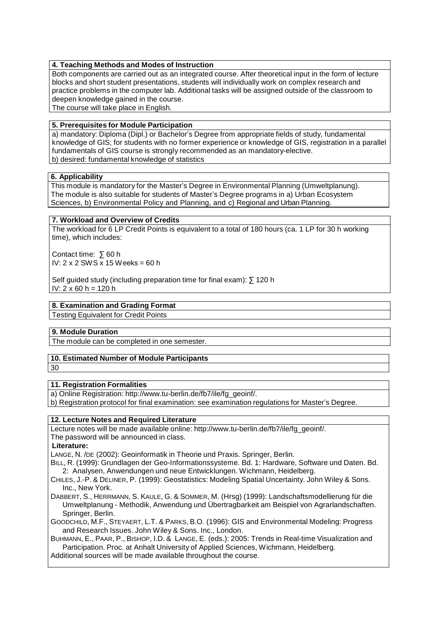### **4. Teaching Methods and Modes of Instruction**

Both components are carried out as an integrated course. After theoretical input in the form of lecture blocks and short student presentations, students will individually work on complex research and practice problems in the computer lab. Additional tasks will be assigned outside of the classroom to deepen knowledge gained in the course.

The course will take place in English.

# **5. Prerequisites for Module Participation**

a) mandatory: Diploma (Dipl.) or Bachelor's Degree from appropriate fields of study, fundamental knowledge of GIS; for students with no former experience or knowledge of GIS, registration in a parallel fundamentals of GIS course is strongly recommended as an mandatory-elective. b) desired: fundamental knowledge of statistics

## **6. Applicability**

This module is mandatory for the Master's Degree in Environmental Planning (Umweltplanung). The module is also suitable for students of Master's Degree programs in a) Urban Ecosystem Sciences, b) Environmental Policy and Planning, and c) Regional and Urban Planning.

#### **7. Workload and Overview of Credits**

The workload for 6 LP Credit Points is equivalent to a total of 180 hours (ca. 1 LP for 30 h working time), which includes:

Contact time: ∑ 60 h IV:  $2 \times 2$  SWS  $\times$  15 Weeks = 60 h

Self guided study (including preparation time for final exam): ∑120 h IV:  $2 \times 60$  h = 120 h

## **8. Examination and Grading Format**

Testing Equivalent for Credit Points

## **9. Module Duration**

The module can be completed in one semester.

## **10. Estimated Number of Module Participants**

30

#### **11. Registration Formalities**

a) Online Registration: [http://www.tu-berlin.de/fb7/ile/fg\\_geoinf/.](http://www.tu-berlin.de/fb7/ile/fg_geoinf/)

b) Registration protocol for final examination: see examination regulations for Master's Degree.

#### **12. Lecture Notes and Required Literature**

Lecture notes will be made available online: [http://www.tu-berlin.de/fb7/ile/fg\\_geoinf/.](http://www.tu-berlin.de/fb7/ile/fg_geoinf/) The password will be announced in class.

**Literature:**

LANGE, N. /DE (2002): Geoinformatik in Theorie und Praxis. Springer, Berlin.

BILL, R. (1999): Grundlagen der Geo-Informationssysteme. Bd. 1: Hardware, Software und Daten. Bd. 2: Analysen, Anwendungen und neue Entwicklungen. Wichmann, Heidelberg.

CHILES, J.-P. & DELINER, P. (1999): Geostatistics: Modeling Spatial Uncertainty. John Wiley & Sons. Inc., New York.

DABBERT, S., HERRMANN, S. KAULE, G. & SOMMER, M. (Hrsg) (1999): Landschaftsmodellierung für die Umweltplanung - Methodik, Anwendung und Übertragbarkeit am Beispiel von Agrarlandschaften. Springer, Berlin.

GOODCHILD, M.F., STEYAERT, L.T. & PARKS, B.O. (1996): GIS and Environmental Modeling: Progress and Research Issues. John Wiley & Sons. Inc., London.

BUHMANN, E., PAAR, P., BISHOP, I.D. & LANGE, E. (eds.): 2005: Trends in Real-time Visualization and Participation. Proc. at Anhalt University of Applied Sciences, Wichmann, Heidelberg.

Additional sources will be made available throughout the course.